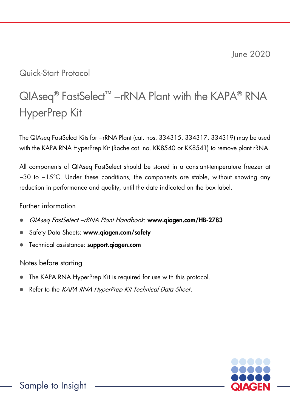June 2020

## Quick-Start Protocol

# QIAseq<sup>®</sup> FastSelect<sup>™</sup> −rRNA Plant with the KAPA® RNA HyperPrep Kit

The QIAseq FastSelect Kits for −rRNA Plant (cat. nos. 334315, 334317, 334319) may be used with the KAPA RNA HyperPrep Kit (Roche cat. no. KK8540 or KK8541) to remove plant rRNA.

All components of QIAseq FastSelect should be stored in a constant-temperature freezer at −30 to −15°C. Under these conditions, the components are stable, without showing any reduction in performance and quality, until the date indicated on the box label.

#### Further information

- QIAseq FastSelect −rRNA Plant Handbook: www.qiagen.com/HB-2783
- Safety Data Sheets: www.aiaaen.com/safety
- Technical assistance: support.aiagen.com

#### Notes before starting

- The KAPA RNA HyperPrep Kit is required for use with this protocol.
- Refer to the KAPA RNA HyperPrep Kit Technical Data Sheet.

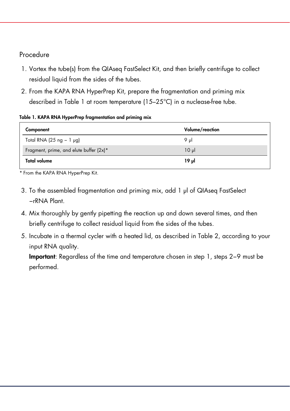### Procedure

- 1. Vortex the tube(s) from the QIAseq FastSelect Kit, and then briefly centrifuge to collect residual liquid from the sides of the tubes.
- 2. From the KAPA RNA HyperPrep Kit, prepare the fragmentation and priming mix described in Table 1 at room temperature (15–25°C) in a nuclease-free tube.

#### Table 1. KAPA RNA HyperPrep fragmentation and priming mix

| Component                               | Volume/reaction |
|-----------------------------------------|-----------------|
| Total RNA (25 ng $-1$ µg)               | 9 ul            |
| Fragment, prime, and elute buffer (2x)* | $10 \mu$        |
| Total volume                            | 19 JJ           |

\* From the KAPA RNA HyperPrep Kit.

- 3. To the assembled fragmentation and priming mix, add 1 μl of QIAseq FastSelect −rRNA Plant.
- 4. Mix thoroughly by gently pipetting the reaction up and down several times, and then briefly centrifuge to collect residual liquid from the sides of the tubes.
- 5. Incubate in a thermal cycler with a heated lid, as described in Table 2, according to your input RNA quality.

Important: Regardless of the time and temperature chosen in step 1, steps 2−9 must be performed.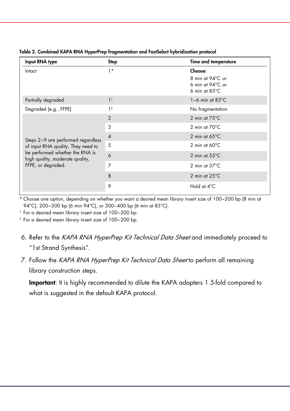| Input RNA type                                                                                                                                                       | Step           | Time and temperature                                                                        |
|----------------------------------------------------------------------------------------------------------------------------------------------------------------------|----------------|---------------------------------------------------------------------------------------------|
| Intact                                                                                                                                                               | $1*$           | Choose:<br>8 min at 94°C or<br>6 min at 94 $\degree$ C <i>or</i><br>6 min at $85^{\circ}$ C |
| Partially degraded                                                                                                                                                   | 1 <sup>†</sup> | $1-6$ min at $85^{\circ}$ C                                                                 |
| Degraded (e.g., FFPE)                                                                                                                                                | $1^{\ddagger}$ | No fragmentation                                                                            |
| Steps 2-9 are performed regardless<br>of input RNA quality. They need to<br>be performed whether the RNA is<br>high quality, moderate quality,<br>FFPE, or degraded. | $\overline{2}$ | 2 min at $75^{\circ}$ C                                                                     |
|                                                                                                                                                                      | 3              | 2 min at $70^{\circ}$ C                                                                     |
|                                                                                                                                                                      | $\overline{4}$ | 2 min at $65^{\circ}$ C                                                                     |
|                                                                                                                                                                      | 5              | 2 min at $60^{\circ}$ C                                                                     |
|                                                                                                                                                                      | 6              | 2 min at $55^{\circ}$ C                                                                     |
|                                                                                                                                                                      | 7              | 2 min at $37^{\circ}$ C                                                                     |
|                                                                                                                                                                      | 8              | 2 min at $25^{\circ}$ C                                                                     |
|                                                                                                                                                                      | 9              | Hold at 4°C                                                                                 |

Table 2. Combined KAPA RNA HyperPrep fragmentation and FastSelect hybridization protocol

\* Choose one option, depending on whether you want a desired mean library insert size of 100−200 bp (8 min at 94°C), 200-300 bp (6 min 94°C), or 300-400 bp (6 min at 85°C).

† For a desired mean library insert size of 100−300 bp.

‡ For a desired mean library insert size of 100−200 bp.

- 6. Refer to the KAPA RNA HyperPrep Kit Technical Data Sheet and immediately proceed to "1st Strand Synthesis".
- 7. Follow the KAPA RNA HyperPrep Kit Technical Data Sheet to perform all remaining library construction steps.

Important: It is highly recommended to dilute the KAPA adapters 1.5-fold compared to what is suggested in the default KAPA protocol.